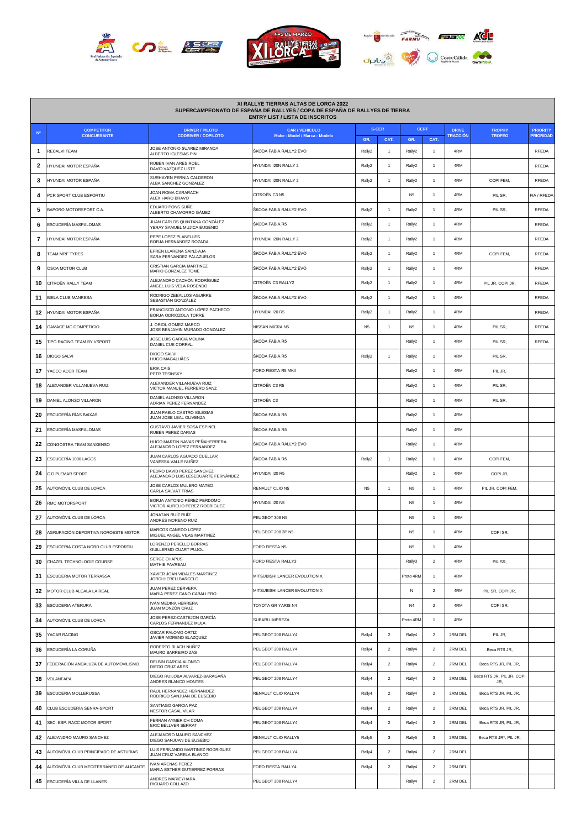





| XI RALLYE TIERRAS ALTAS DE LORCA 2022<br>SUPERCAMPEONATO DE ESPAÑA DE RALLYES / COPA DE ESPAÑA DE RALLYES DE TIERRA<br><b>ENTRY LIST / LISTA DE INSCRITOS</b> |                                         |                                                                  |                                                        |                |                         |                |                          |                                 |                                  |                                     |
|---------------------------------------------------------------------------------------------------------------------------------------------------------------|-----------------------------------------|------------------------------------------------------------------|--------------------------------------------------------|----------------|-------------------------|----------------|--------------------------|---------------------------------|----------------------------------|-------------------------------------|
| N <sup>o</sup>                                                                                                                                                | <b>COMPETITOR</b><br><b>CONCURSANTE</b> | <b>DRIVER / PILOTO</b><br><b>CODRIVER / COPILOTO</b>             | <b>CAR / VEHICULO</b><br>Make - Model / Marca - Modelo | <b>S-CER</b>   |                         | <b>CERT</b>    |                          | <b>DRIVE</b><br><b>TRACCIÓN</b> | <b>TROPHY</b><br><b>TROFEO</b>   | <b>PRIORITY</b><br><b>PRIORIDAD</b> |
| -1                                                                                                                                                            | RECALVI TEAM                            | JOSE ANTONIO SUAREZ MIRANDA<br>ALBERTO IGLESIAS PIN              | ŠKODA FABIA RALLY2 EVO                                 | GR.<br>Rally2  | CAT.<br>$\mathbf{1}$    | GR.<br>Rally2  | CAT.<br>1                | 4RM                             |                                  | <b>RFEDA</b>                        |
| 2                                                                                                                                                             | HYUNDAI MOTOR ESPAÑA                    | RUBEN IVAN ARES ROEL<br>DAVID VAZQUEZ LISTE                      | HYUNDAI I20N RALLY 2                                   | Rally2         | $\mathbf{1}$            | Rally2         | $\overline{1}$           | 4RM                             |                                  | RFEDA                               |
| 3                                                                                                                                                             | HYUNDAI MOTOR ESPAÑA                    | SURHAYEN PERNIA CALDERON<br>ALBA SANCHEZ GONZALEZ                | HYUNDAI I20N RALLY 2                                   | Rally2         | -1                      | Rally2         |                          | 4RM                             | COPI FEM,                        | RFEDA                               |
| 4                                                                                                                                                             | PCR SPORT CLUB ESPORTIU                 | JOAN ROMA CARARACH<br>ALEX HARO BRAVO                            | CITROËN C3 N5                                          |                |                         | N <sub>5</sub> | $\overline{1}$           | 4RM                             | PIL SR,                          | FIA / RFEDA                         |
| 5                                                                                                                                                             | BAPORO MOTORSPORT C.A.                  | EDUARD PONS SUÑE<br>ALBERTO CHAMORRO GÁMEZ                       | ŠKODA FABIA RALLY2 EVO                                 | Rally2         | $\mathbf{1}$            | Rally2         |                          | 4RM                             | PIL SR.                          | RFEDA                               |
| 6                                                                                                                                                             | ESCUDERÍA MASPALOMAS                    | JUAN CARLOS QUINTANA GONZÁLEZ<br>YERAY SAMUEL MUJICA EUGENIO     | ŠKODA FABIA R5                                         | Rally2         | $\mathbf{1}$            | Rally2         | 1                        | 4RM                             |                                  | RFEDA                               |
| 7                                                                                                                                                             | HYUNDAI MOTOR ESPAÑA                    | PEPE LOPEZ PLANELLES<br>BORJA HERNANDEZ ROZADA                   | HYUNDAI I20N RALLY 2                                   | Rally2         | $\overline{1}$          | Rally2         | $\mathbf{1}$             | 4RM                             |                                  | RFEDA                               |
| 8                                                                                                                                                             | <b>EAM MRF TYRES</b>                    | EFREN LLARENA SAINZ-AJA<br>SARA FERNANDEZ PALAZUELOS             | ŠKODA FABIA RALLY2 EVO                                 | Rally2         | $\mathbf{1}$            | Rally2         | 1                        | 4RM                             | COPI FEM,                        | RFEDA                               |
| 9                                                                                                                                                             | <b>OSCA MOTOR CLUB</b>                  | CRISTIAN GARCIA MARTINEZ<br>MARIO GONZALEZ TOME                  | ŠKODA FABIA RALLY2 EVO                                 | Rally2         | $\overline{1}$          | Rally2         | $\mathbf{1}$             | 4RM                             |                                  | RFEDA                               |
| 10                                                                                                                                                            | CITROËN RALLY TEAM                      | ALEJANDRO CACHÓN RODRÍGUEZ<br>ANGEL LUIS VELA ROSENDO            | CITROËN C3 RALLY2                                      | Rally2         | $\mathbf{1}$            | Rally2         | $\overline{1}$           | 4RM                             | PIL JR, COPI JR,                 | RFEDA                               |
| 11                                                                                                                                                            | BIELA CLUB MANRESA                      | RODRIGO ZEBALLOS AGUIRRE<br>SEBASTIÁN GONZÁLEZ                   | ŠKODA FABIA RALLY2 EVO                                 | Rally2         | $\mathbf{1}$            | Rally2         | -1                       | 4RM                             |                                  | RFEDA                               |
| 12                                                                                                                                                            | HYUNDAI MOTOR ESPAÑA                    | FRANCISCO ANTONIO LÓPEZ PACHECO<br>BORJA ODRIOZOLA TORRE         | HYUNDAI I20 R5                                         | Rally2         | $\overline{1}$          | Rally2         | $\mathbf{1}$             | 4RM                             |                                  | RFEDA                               |
| 14                                                                                                                                                            | <b>GAMACE MC COMPETICIO</b>             | J. ORIOL GOMEZ MARCO<br>JOSE BENJAMIN MURADO GONZALEZ            | NISSAN MICRA N5                                        | N <sub>5</sub> | $\mathbf{1}$            | N <sub>5</sub> | $\mathbf{1}$             | 4RM                             | PIL SR,                          | RFEDA                               |
| 15                                                                                                                                                            | TIPO RACING TEAM BY VSPORT              | JOSE LUIS GARCIA MOLINA<br>DANIEL CUE CORRAL                     | ŠKODA FABIA R5                                         |                |                         | Rally2         | -1                       | 4RM                             | PIL SR.                          | RFEDA                               |
| 16                                                                                                                                                            | DIOGO SALVI                             | DIOGO SALVI<br>HUGO MAGALHÃES                                    | ŠKODA FABIA R5                                         | Rally2         | $\mathbf{1}$            | Rally2         | $\overline{1}$           | 4RM                             | PIL SR.                          |                                     |
| 17                                                                                                                                                            | YACCO ACCR TEAM                         | <b>ERIK CAIS</b><br>PETR TESINSKY                                | FORD FIESTA R5 MKII                                    |                |                         | Rally2         | -1                       | 4RM                             | PIL JR,                          |                                     |
| 18                                                                                                                                                            | ALEXANDER VILLANUEVA RUIZ               | ALEXANDER VILLANUEVA RUIZ<br>VICTOR MANUEL FERRERO SANZ          | CITROËN C3 R5                                          |                |                         | Rally2         | $\overline{1}$           | 4RM                             | PIL SR.                          |                                     |
| 19                                                                                                                                                            | DANIEL ALONSO VILLARON                  | DANIEL ALONSO VILLARON<br>ADRIAN PEREZ FERNANDEZ                 | CITROËN C3                                             |                |                         | Rally2         | 1                        | 4RM                             | PIL SR.                          |                                     |
| 20                                                                                                                                                            | ESCUDERÍA RÍAS BAIXAS                   | JUAN PABLO CASTRO IGLESIAS<br>JUAN JOSE LEAL OLIVENZA            | ŠKODA FABIA R5                                         |                |                         | Rally2         |                          | 4RM                             |                                  |                                     |
| 21                                                                                                                                                            | ESCUDERÍA MASPALOMAS                    | GUSTAVO JAVIER SOSA ESPINEL<br>RUBEN PEREZ DARIAS                | ŠKODA FABIA R5                                         |                |                         | Rally2         |                          | 4RM                             |                                  |                                     |
| 22                                                                                                                                                            | CONGOSTRA TEAM SANXENSO                 | HUGO MARTIN NAVAS PEÑAHERRERA<br>ALEJANDRO LOPEZ FERNANDEZ       | ŠKODA FABIA RALLY2 EVO                                 |                |                         | Rally2         | 1                        | 4RM                             |                                  |                                     |
| 23                                                                                                                                                            | ESCUDERÍA 1000 LAGOS                    | JUAN CARLOS AGUADO CUELLAR<br>VANESSA VALLE NUÑEZ                | ŠKODA FABIA R5                                         | Rally2         | $\mathbf{1}$            | Rally2         |                          | 4RM                             | COPI FEM,                        |                                     |
| 24                                                                                                                                                            | C.D PLEMAR SPORT                        | PEDRO DAVID PEREZ SANCHEZ<br>ALEJANDRO LUIS LESEDUARTE FERNÁNDEZ | HYUNDAI I20 R5                                         |                |                         | Rally2         | $\mathbf{1}$             | 4RM                             | COPI JR,                         |                                     |
| 25                                                                                                                                                            | AUTOMÓVIL CLUB DE LORCA                 | JOSE CARLOS MULERO MATEO<br>CARLA SALVAT TRIAS                   | RENAULT CLIO N5                                        | N <sub>5</sub> | $\overline{1}$          | N <sub>5</sub> |                          | 4RM                             | PIL JR, COPI FEM,                |                                     |
| 26                                                                                                                                                            | RMC MOTORSPORT                          | BORJA ANTONIO PÉREZ PERDOMO<br>VICTOR AURELIO PEREZ RODRIGUEZ    | HYUNDAI I20 N5                                         |                |                         | N <sub>5</sub> | $\mathbf{1}$             | 4RM                             |                                  |                                     |
| 27                                                                                                                                                            | AUTOMÓVIL CLUB DE LORCA                 | JONATAN RUÍZ RUÍZ<br>ANDRES MORENO RUIZ                          | PEUGEOT 308 N5                                         |                |                         | N <sub>5</sub> |                          | 4RM                             |                                  |                                     |
| 28                                                                                                                                                            | AGRUPACIÓN DEPORTIVA NOROESTE MOTOR     | MARCOS CANEDO LOPEZ<br>MIGUEL ANGEL VILAS MARTINEZ               | PEUGEOT 208 3P N5                                      |                |                         | N <sub>5</sub> |                          | 4RM                             | COPI SR.                         |                                     |
| 29                                                                                                                                                            | ESCUDERIA COSTA NORD CLUB ESPORTIU      | LORENZO PERELLO BORRAS<br>GUILLERMO CUART PUJOL                  | FORD FIESTA N5                                         |                |                         | N <sub>5</sub> | $\overline{1}$           | 4RM                             |                                  |                                     |
| 30                                                                                                                                                            | CHAZEL TECHNOLOGIE COURSE               | <b>SERGE CHAPUS</b><br>MATHIE FAVREAU                            | FORD FIESTA RALLY3                                     |                |                         | Rally3         | $\overline{2}$           | 4RM                             | PIL SR.                          |                                     |
| 31                                                                                                                                                            | ESCUDERIA MOTOR TERRASSA                | XAVIER JOAN VIDALES MARTINEZ<br>JORDI HEREU BARCELO              | MITSUBISHI LANCER EVOLUTION X                          |                |                         | Proto 4RM      | $\mathbf{1}$             | 4RM                             |                                  |                                     |
| 32                                                                                                                                                            | MOTOR CLUB ALCALA LA REAL               | <b>JUAN PEREZ CERVERA</b><br>MARIA PEREZ CANO CABALLERO          | MITSUBISHI LANCER EVOLUTION X                          |                |                         | N              | $\overline{2}$           | 4RM                             | PIL SR, COPI JR,                 |                                     |
| 33                                                                                                                                                            | ESCUDERIA ATERURA                       | IVÁN MEDINA HERRERA<br>JUAN MONZÓN CRUZ                          | TOYOTA GR YARIS N4                                     |                |                         | N <sub>4</sub> | $\overline{2}$           | 4RM                             | COPI SR,                         |                                     |
| 34                                                                                                                                                            | AUTOMÓVIL CLUB DE LORCA                 | JOSE PEREZ-CASTEJON GARCÍA<br>CARLOS FERNANDEZ MULA              | SUBARU IMPREZA                                         |                |                         | Proto 4RM      | $\mathbf{1}$             | 4RM                             |                                  |                                     |
| 35                                                                                                                                                            | YACAR RACING                            | OSCAR PALOMO ORTIZ<br>JAVIER MORENO BLAZQUEZ                     | PEUGEOT 208 RALLY4                                     | Rally4         | $\overline{2}$          | Rally4         | $\overline{2}$           | 2RM DEL                         | PIL JR,                          |                                     |
| 36                                                                                                                                                            | ESCUDERÍA LA CORUÑA                     | ROBERTO BLACH NUÑEZ<br><b>MAURO BARREIRO ZAS</b>                 | PEUGEOT 208 RALLY4                                     | Rally4         | $\overline{2}$          | Rally4         | $\overline{2}$           | 2RM DEL                         | Beca RTS JR,                     |                                     |
| 37                                                                                                                                                            | FEDERACIÓN ANDALUZA DE AUTOMOVILISMO    | DELBIN GARCIA ALONSO<br>DIEGO CRUZ ARES                          | PEUGEOT 208 RALLY4                                     | Rally4         | $\overline{\mathbf{c}}$ | Rally4         | $\overline{2}$           | 2RM DEL                         | Beca RTS JR, PIL JR,             |                                     |
| 38                                                                                                                                                            | VOLANFAPA                               | DIEGO RUILOBA ALVAREZ-BARAGAÑA<br>ANDRES BLANCO MONTES           | PEUGEOT 208 RALLY4                                     | Rally4         | $\overline{2}$          | Rally4         | $\overline{2}$           | 2RM DEL                         | Beca RTS JR, PIL JR, COPI<br>JR. |                                     |
| 39                                                                                                                                                            | ESCUDERIA MOLLERUSSA                    | RAUL HERNANDEZ HERNANDEZ<br>RODRIGO SANJUAN DE EUSEBIO           | RENAULT CLIO RALLY4                                    | Rally4         | $\mathfrak{p}$          | Rally4         | $\overline{\phantom{a}}$ | 2RM DEL                         | Beca RTS JR, PIL JR,             |                                     |
| 40                                                                                                                                                            | CLUB ESCUDERÍA SENRA-SPORT              | SANTIAGO GARCIA PAZ<br>NESTOR CASAL VILAR                        | PEUGEOT 208 RALLY4                                     | Rally4         | $\overline{2}$          | Rally4         | $\overline{2}$           | 2RM DEL                         | Beca RTS JR, PIL JR,             |                                     |
| 41                                                                                                                                                            | SEC. ESP. RACC MOTOR SPORT              | FERRAN AYMERICH COMA<br>ERIC BELLVER SERRAT                      | PEUGEOT 208 RALLY4                                     | Rally4         | $\overline{2}$          | Rally4         | $\overline{2}$           | 2RM DEL                         | Beca RTS JR, PIL JR,             |                                     |
| 42                                                                                                                                                            | ALEJANDRO MAURO SANCHEZ                 | ALEJANDRO MAURO SANCHEZ<br>DIEGO SANJUAN DE EUSEBIO              | RENAULT CLIO RALLY5                                    | Rally5         | 3                       | Rally5         | 3                        | 2RM DEL                         | Beca RTS JR*, PIL JR,            |                                     |
| 43                                                                                                                                                            | AUTOMÓVIL CLUB PRINCIPADO DE ASTURIAS   | LUIS FERNANDO MARTINEZ RODRIGUEZ<br>JUAN CRUZ VARELA BLANCO      | PEUGEOT 208 RALLY4                                     | Rally4         | $\overline{2}$          | Rally4         | $\overline{2}$           | 2RM DEL                         |                                  |                                     |
| 44                                                                                                                                                            | AUTOMÓVIL CLUB MEDITERRÁNEO DE ALICANTE | VAN ARFNAS PFRFZ<br>MARIA ESTHER GUTIERREZ PORRAS                | FORD FIESTA RALLY4                                     | Rally4         | $\overline{2}$          | Rally4         | $\overline{2}$           | 2RM DEL                         |                                  |                                     |
| 45                                                                                                                                                            | ESCUDERÍA VILLA DE LLANES               | ANDRES MARIEYHARA<br>RICHARD COLLAZO                             | PEUGEOT 208 RALLY4                                     |                |                         | Rally4         | $\overline{2}$           | 2RM DEL                         |                                  |                                     |